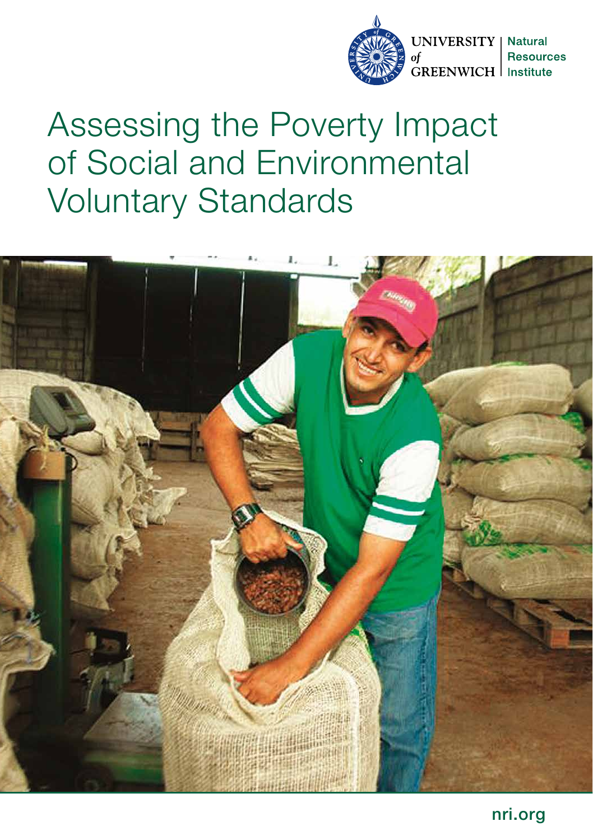

Assessing the Poverty Impact of Social and Environmental Voluntary Standards

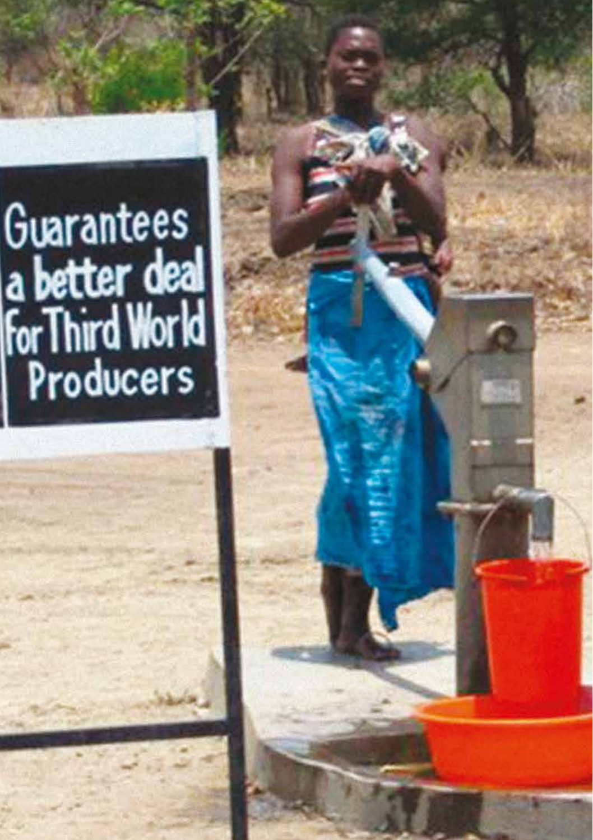# Guarantees<br>a better deal<br>forThird World<br>Producers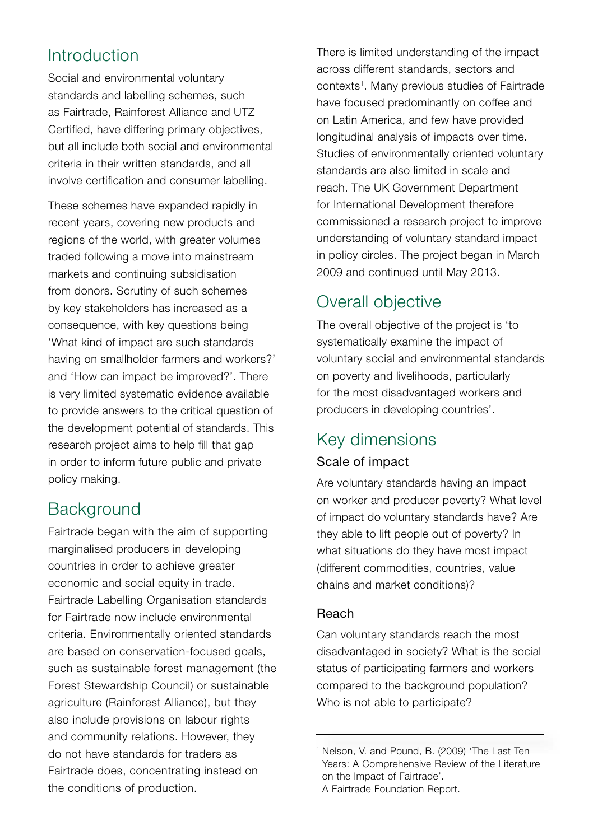# Introduction

Social and environmental voluntary standards and labelling schemes, such as Fairtrade, Rainforest Alliance and UTZ Certified, have differing primary objectives, but all include both social and environmental criteria in their written standards, and all involve certification and consumer labelling.

These schemes have expanded rapidly in recent years, covering new products and regions of the world, with greater volumes traded following a move into mainstream markets and continuing subsidisation from donors. Scrutiny of such schemes by key stakeholders has increased as a consequence, with key questions being 'What kind of impact are such standards having on smallholder farmers and workers?' and 'How can impact be improved?'. There is very limited systematic evidence available to provide answers to the critical question of the development potential of standards. This research project aims to help fill that gap in order to inform future public and private policy making.

# **Background**

Fairtrade began with the aim of supporting marginalised producers in developing countries in order to achieve greater economic and social equity in trade. Fairtrade Labelling Organisation standards for Fairtrade now include environmental criteria. Environmentally oriented standards are based on conservation-focused goals, such as sustainable forest management (the Forest Stewardship Council) or sustainable agriculture (Rainforest Alliance), but they also include provisions on labour rights and community relations. However, they do not have standards for traders as Fairtrade does, concentrating instead on the conditions of production.

There is limited understanding of the impact across different standards, sectors and contexts<sup>1</sup>. Many previous studies of Fairtrade have focused predominantly on coffee and on Latin America, and few have provided longitudinal analysis of impacts over time. Studies of environmentally oriented voluntary standards are also limited in scale and reach. The UK Government Department for International Development therefore commissioned a research project to improve understanding of voluntary standard impact in policy circles. The project began in March 2009 and continued until May 2013.

# Overall objective

The overall objective of the project is 'to systematically examine the impact of voluntary social and environmental standards on poverty and livelihoods, particularly for the most disadvantaged workers and producers in developing countries'.

# Key dimensions

# Scale of impact

Are voluntary standards having an impact on worker and producer poverty? What level of impact do voluntary standards have? Are they able to lift people out of poverty? In what situations do they have most impact (different commodities, countries, value chains and market conditions)?

## Reach

Can voluntary standards reach the most disadvantaged in society? What is the social status of participating farmers and workers compared to the background population? Who is not able to participate?

<sup>1</sup> Nelson, V. and Pound, B. (2009) 'The Last Ten Years: A Comprehensive Review of the Literature on the Impact of Fairtrade'. A Fairtrade Foundation Report.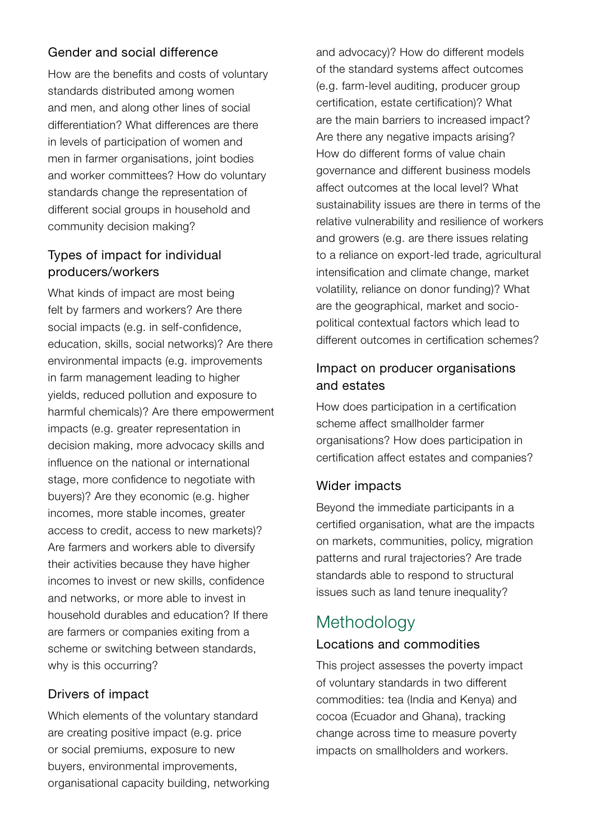## Gender and social difference

How are the benefits and costs of voluntary standards distributed among women and men, and along other lines of social differentiation? What differences are there in levels of participation of women and men in farmer organisations, joint bodies and worker committees? How do voluntary standards change the representation of different social groups in household and community decision making?

## Types of impact for individual producers/workers

What kinds of impact are most being felt by farmers and workers? Are there social impacts (e.g. in self-confidence, education, skills, social networks)? Are there environmental impacts (e.g. improvements in farm management leading to higher yields, reduced pollution and exposure to harmful chemicals)? Are there empowerment impacts (e.g. greater representation in decision making, more advocacy skills and influence on the national or international stage, more confidence to negotiate with buyers)? Are they economic (e.g. higher incomes, more stable incomes, greater access to credit, access to new markets)? Are farmers and workers able to diversify their activities because they have higher incomes to invest or new skills, confidence and networks, or more able to invest in household durables and education? If there are farmers or companies exiting from a scheme or switching between standards, why is this occurring?

## Drivers of impact

Which elements of the voluntary standard are creating positive impact (e.g. price or social premiums, exposure to new buyers, environmental improvements, organisational capacity building, networking

and advocacy)? How do different models of the standard systems affect outcomes (e.g. farm-level auditing, producer group certification, estate certification)? What are the main barriers to increased impact? Are there any negative impacts arising? How do different forms of value chain governance and different business models affect outcomes at the local level? What sustainability issues are there in terms of the relative vulnerability and resilience of workers and growers (e.g. are there issues relating to a reliance on export-led trade, agricultural intensification and climate change, market volatility, reliance on donor funding)? What are the geographical, market and sociopolitical contextual factors which lead to different outcomes in certification schemes?

## Impact on producer organisations and estates

How does participation in a certification scheme affect smallholder farmer organisations? How does participation in certification affect estates and companies?

## Wider impacts

Beyond the immediate participants in a certified organisation, what are the impacts on markets, communities, policy, migration patterns and rural trajectories? Are trade standards able to respond to structural issues such as land tenure inequality?

# **Methodology**

## Locations and commodities

This project assesses the poverty impact of voluntary standards in two different commodities: tea (India and Kenya) and cocoa (Ecuador and Ghana), tracking change across time to measure poverty impacts on smallholders and workers.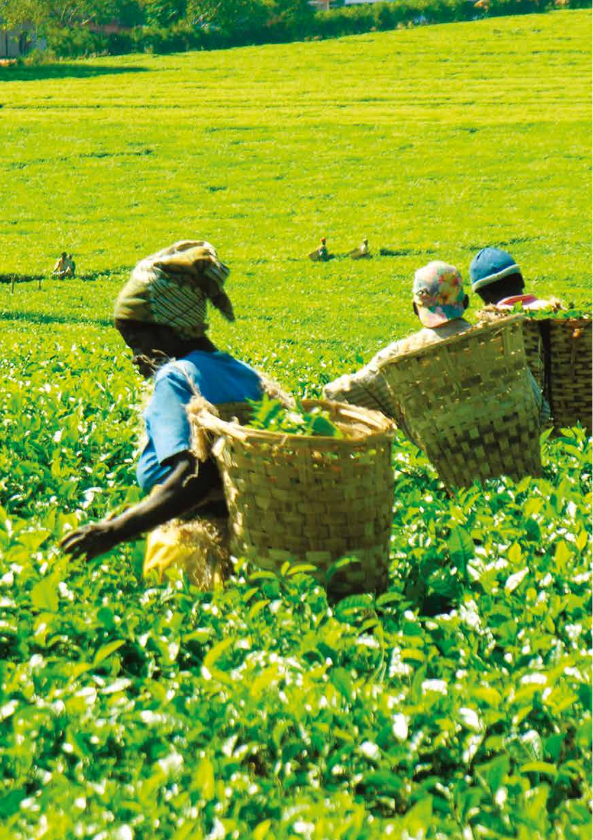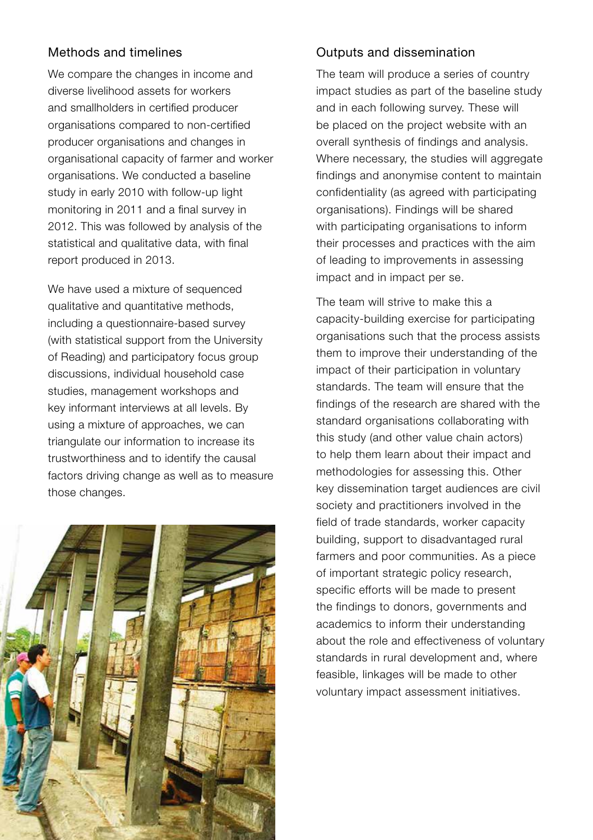## Methods and timelines

We compare the changes in income and diverse livelihood assets for workers and smallholders in certified producer organisations compared to non-certified producer organisations and changes in organisational capacity of farmer and worker organisations. We conducted a baseline study in early 2010 with follow-up light monitoring in 2011 and a final survey in 2012. This was followed by analysis of the statistical and qualitative data, with final report produced in 2013.

We have used a mixture of sequenced qualitative and quantitative methods, including a questionnaire-based survey (with statistical support from the University of Reading) and participatory focus group discussions, individual household case studies, management workshops and key informant interviews at all levels. By using a mixture of approaches, we can triangulate our information to increase its trustworthiness and to identify the causal factors driving change as well as to measure those changes.



# Outputs and dissemination

The team will produce a series of country impact studies as part of the baseline study and in each following survey. These will be placed on the project website with an overall synthesis of findings and analysis. Where necessary, the studies will aggregate findings and anonymise content to maintain confidentiality (as agreed with participating organisations). Findings will be shared with participating organisations to inform their processes and practices with the aim of leading to improvements in assessing impact and in impact per se.

The team will strive to make this a capacity-building exercise for participating organisations such that the process assists them to improve their understanding of the impact of their participation in voluntary standards. The team will ensure that the findings of the research are shared with the standard organisations collaborating with this study (and other value chain actors) to help them learn about their impact and methodologies for assessing this. Other key dissemination target audiences are civil society and practitioners involved in the field of trade standards, worker capacity building, support to disadvantaged rural farmers and poor communities. As a piece of important strategic policy research, specific efforts will be made to present the findings to donors, governments and academics to inform their understanding about the role and effectiveness of voluntary standards in rural development and, where feasible, linkages will be made to other voluntary impact assessment initiatives.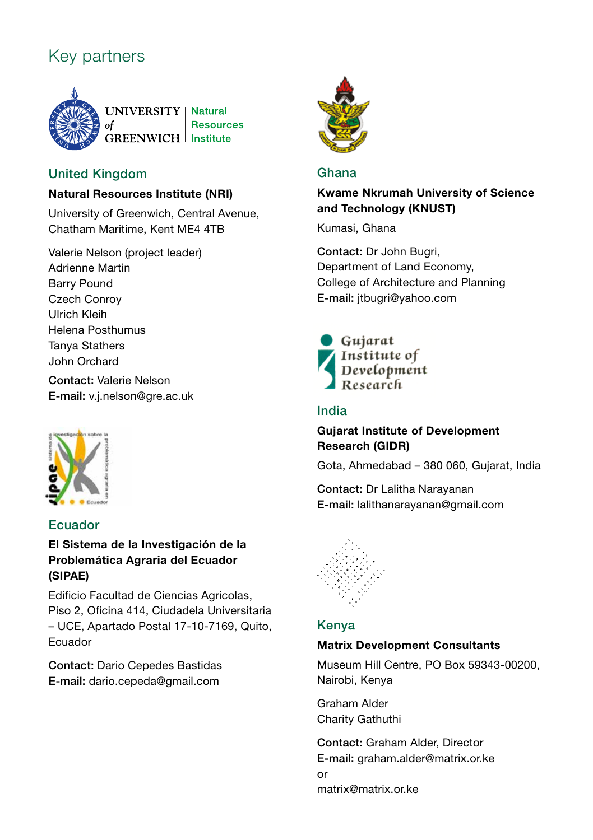# Key partners



#### United Kingdom

#### Natural Resources Institute (NRI)

University of Greenwich, Central Avenue, Chatham Maritime, Kent ME4 4TB

Valerie Nelson (project leader) Adrienne Martin Barry Pound Czech Conroy Ulrich Kleih Helena Posthumus Tanya Stathers John Orchard

Contact: Valerie Nelson E-mail: v.j.nelson@gre.ac.uk



#### Ecuador

#### El Sistema de la Investigación de la Problemática Agraria del Ecuador (SIPAE)

Edificio Facultad de Ciencias Agricolas, Piso 2, Oficina 414, Ciudadela Universitaria – UCE, Apartado Postal 17-10-7169, Quito, Ecuador

Contact: Dario Cepedes Bastidas E-mail: dario.cepeda@gmail.com



#### Ghana

#### Kwame Nkrumah University of Science and Technology (KNUST)

Kumasi, Ghana

Contact: Dr John Bugri, Department of Land Economy, College of Architecture and Planning E-mail: jtbugri@yahoo.com



Institute of<br>Development

#### India

#### Gujarat Institute of Development Research (GIDR)

Gota, Ahmedabad – 380 060, Gujarat, India

Contact: Dr Lalitha Narayanan E-mail: lalithanarayanan@gmail.com



#### Kenya

#### Matrix Development Consultants

Museum Hill Centre, PO Box 59343-00200, Nairobi, Kenya

Graham Alder Charity Gathuthi

Contact: Graham Alder, Director E-mail: graham.alder@matrix.or.ke or matrix@matrix.or.ke